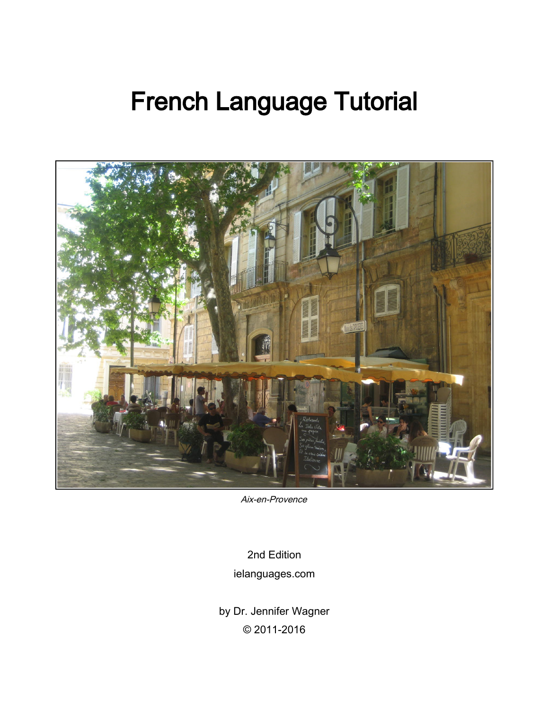# French Language Tutorial



Aix-en-Provence

2nd Edition ielanguages.com

by Dr. Jennifer Wagner © 2011-2016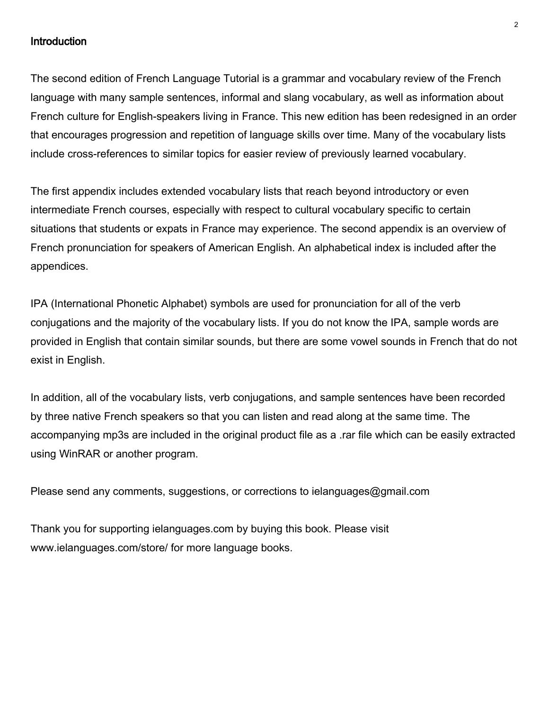#### **Introduction**

The second edition of French Language Tutorial is a grammar and vocabulary review of the French language with many sample sentences, informal and slang vocabulary, as well as information about French culture for English-speakers living in France. This new edition has been redesigned in an order that encourages progression and repetition of language skills over time. Many of the vocabulary lists include cross-references to similar topics for easier review of previously learned vocabulary.

The first appendix includes extended vocabulary lists that reach beyond introductory or even intermediate French courses, especially with respect to cultural vocabulary specific to certain situations that students or expats in France may experience. The second appendix is an overview of French pronunciation for speakers of American English. An alphabetical index is included after the appendices.

IPA (International Phonetic Alphabet) symbols are used for pronunciation for all of the verb conjugations and the majority of the vocabulary lists. If you do not know the IPA, sample words are provided in English that contain similar sounds, but there are some vowel sounds in French that do not exist in English.

In addition, all of the vocabulary lists, verb conjugations, and sample sentences have been recorded by three native French speakers so that you can listen and read along at the same time. The accompanying mp3s are included in the original product file as a .rar file which can be easily extracted using WinRAR or another program.

Please send any comments, suggestions, or corrections to ielanguages@gmail.com

Thank you for supporting ielanguages.com by buying this book. Please visit www.ielanguages.com/store/ for more language books.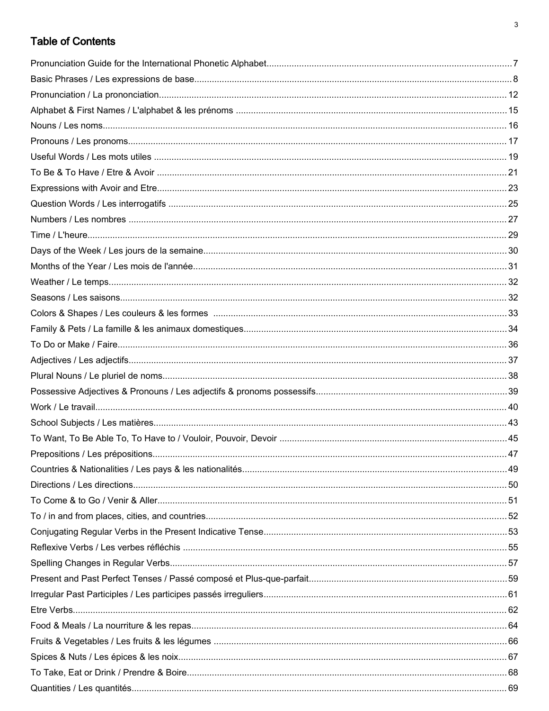## **Table of Contents**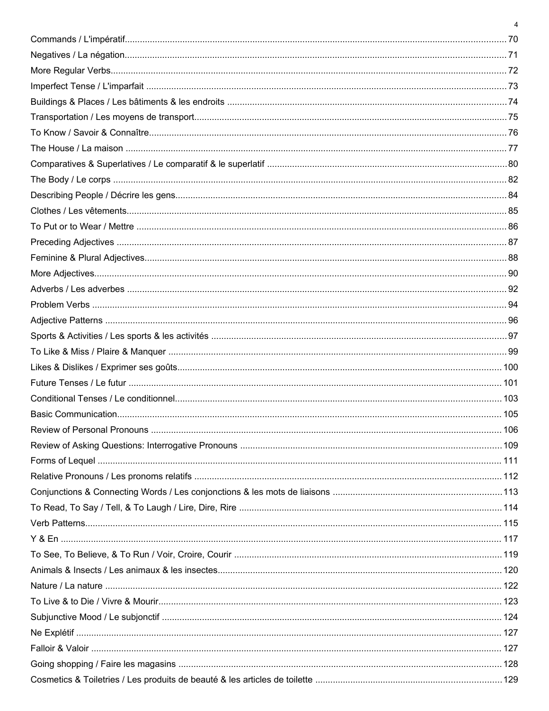| $\overline{4}$ |
|----------------|
|                |
|                |
|                |
|                |
|                |
|                |
|                |
|                |
|                |
|                |
|                |
|                |
|                |
|                |
|                |
|                |
|                |
|                |
|                |
|                |
|                |
|                |
|                |
|                |
|                |
|                |
|                |
|                |
|                |
|                |
|                |
|                |
|                |
|                |
|                |
|                |
|                |
|                |
|                |
|                |
|                |
|                |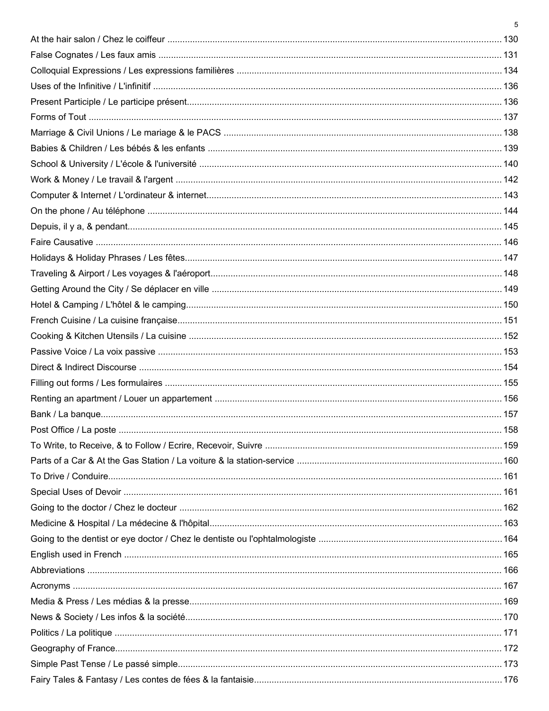| 5 |
|---|
|   |
|   |
|   |
|   |
|   |
|   |
|   |
|   |
|   |
|   |
|   |
|   |
|   |
|   |
|   |
|   |
|   |
|   |
|   |
|   |
|   |
|   |
|   |
|   |
|   |
|   |
|   |
|   |
|   |
|   |
|   |
|   |
|   |
|   |
|   |
|   |
|   |
|   |
|   |
|   |
|   |
|   |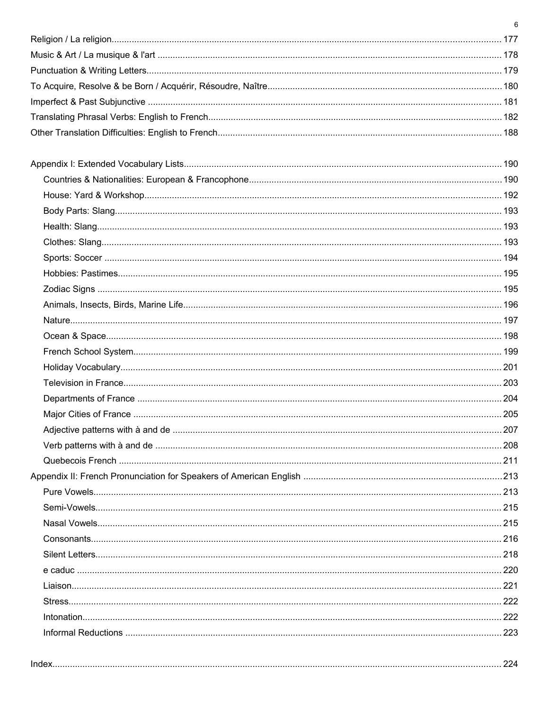| 6 |
|---|
|   |
|   |
|   |
|   |
|   |
|   |
|   |
|   |
|   |
|   |
|   |
|   |
|   |
|   |
|   |
|   |
|   |
|   |
|   |
|   |
|   |
|   |
|   |
|   |
|   |
|   |
|   |
|   |
|   |
|   |
|   |
|   |
|   |
|   |
|   |
|   |
|   |
|   |
|   |

| Inde <sup>®</sup> |
|-------------------|
|-------------------|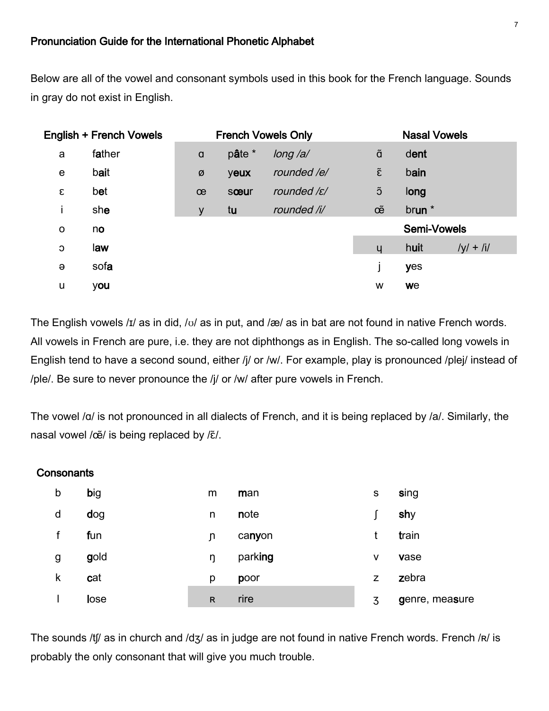#### Pronunciation Guide for the International Phonetic Alphabet

Below are all of the vowel and consonant symbols used in this book for the French language. Sounds in gray do not exist in English.

|          | <b>English + French Vowels</b> |          |        | <b>French Vowels Only</b> |                    | <b>Nasal Vowels</b> |             |
|----------|--------------------------------|----------|--------|---------------------------|--------------------|---------------------|-------------|
| a        | father                         | $\alpha$ | pâte * | long /a/                  | ã                  | dent                |             |
| e        | bait                           | Ø        | yeux   | rounded /e/               | $\tilde{\epsilon}$ | bain                |             |
| ε        | bet                            | œ        | sœur   | rounded /ɛ/               | õ                  | long                |             |
| i        | she                            | y        | tu     | rounded /i/               | œ                  | brun *              |             |
| O        | no                             |          |        |                           |                    | Semi-Vowels         |             |
| C        | law                            |          |        |                           | ų                  | huit                | $/y/ + 11/$ |
| $\Theta$ | sofa                           |          |        |                           |                    | yes                 |             |
| u        | you                            |          |        |                           | w                  | we                  |             |

The English vowels /ɪ/ as in did, /ʊ/ as in put, and /æ/ as in bat are not found in native French words. All vowels in French are pure, i.e. they are not diphthongs as in English. The so-called long vowels in English tend to have a second sound, either /j/ or /w/. For example, play is pronounced /plej/ instead of /ple/. Be sure to never pronounce the /j/ or /w/ after pure vowels in French.

The vowel /a/ is not pronounced in all dialects of French, and it is being replaced by /a/. Similarly, the nasal vowel /œ̃/ is being replaced by /ɛ̃/.

#### **Consonants**

| b | big         | m            | man     | s | sing           |
|---|-------------|--------------|---------|---|----------------|
| d | dog         | n            | note    |   | shy            |
|   | fun         | ŋ            | canyon  |   | train          |
| g | gold        | ŋ            | parking | v | vase           |
| k | cat         | p            | poor    | z | zebra          |
|   | <b>lose</b> | $\mathsf{R}$ | rire    | 3 | genre, measure |

The sounds /tf/ as in church and /dʒ/ as in judge are not found in native French words. French /R/ is probably the only consonant that will give you much trouble.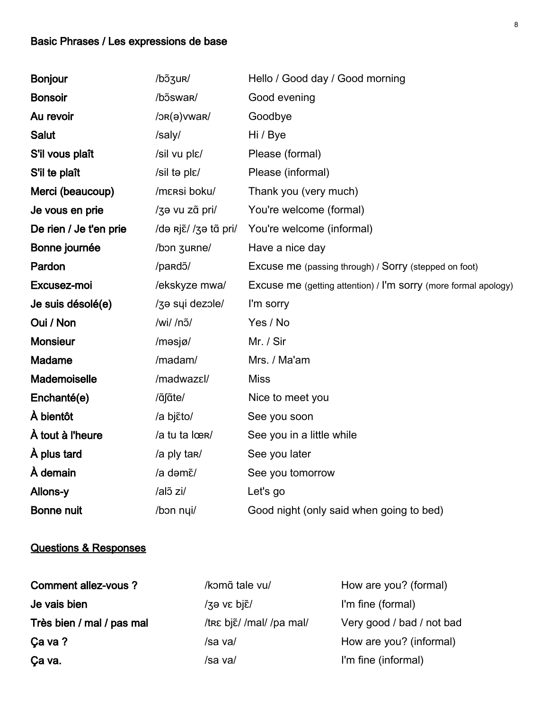# Basic Phrases / Les expressions de base

| <b>Bonjour</b>         | /bɔ̃ʒur/              | Hello / Good day / Good morning                                 |
|------------------------|-----------------------|-----------------------------------------------------------------|
| <b>Bonsoir</b>         | /bɔ̃swar/             | Good evening                                                    |
| Au revoir              | $/$ $OR(θ)$ vwar $/$  | Goodbye                                                         |
| <b>Salut</b>           | /saly/                | Hi / Bye                                                        |
| S'il vous plaît        | /sil vu plɛ/          | Please (formal)                                                 |
| S'il te plaît          | /sil ta plɛ/          | Please (informal)                                               |
| Merci (beaucoup)       | /mɛrsi boku/          | Thank you (very much)                                           |
| Je vous en prie        | /za vu zã pri/        | You're welcome (formal)                                         |
| De rien / Je t'en prie | /də riɛ̃//ʒə tɑ̃ pri/ | You're welcome (informal)                                       |
| Bonne journée          | /bon zurne/           | Have a nice day                                                 |
| Pardon                 | /pardɔ̃/              | Excuse me (passing through) / Sorry (stepped on foot)           |
| Excusez-moi            | /ekskyze mwa/         | Excuse me (getting attention) / I'm sorry (more formal apology) |
| Je suis désolé(e)      | /za sui dezole/       | I'm sorry                                                       |
| Oui / Non              | /wi/ /nɔ̃/            | Yes / No                                                        |
| <b>Monsieur</b>        | /məsjø/               | Mr. / Sir                                                       |
| <b>Madame</b>          | /madam/               | Mrs. / Ma'am                                                    |
| Mademoiselle           | /madwazɛl/            | <b>Miss</b>                                                     |
| Enchanté(e)            | /ãfãte/               | Nice to meet you                                                |
| À bientôt              | /a bjɛ̃to/            | See you soon                                                    |
| À tout à l'heure       | /a tu ta lœR/         | See you in a little while                                       |
| À plus tard            | /a ply tar/           | See you later                                                   |
| À demain               | /a dəmɛ̃/             | See you tomorrow                                                |
| Allons-y               | /alõ zi/              | Let's go                                                        |
| <b>Bonne nuit</b>      | /bon nui/             | Good night (only said when going to bed)                        |

### Questions & Responses

| Comment allez-vous?       | /komã tale vu/                       | How are you? (formal)     |
|---------------------------|--------------------------------------|---------------------------|
| Je vais bien              | $\frac{1}{3}$ θ νε bjε $\frac{1}{2}$ | I'm fine (formal)         |
| Très bien / mal / pas mal | /tre bjɛ̃/ /mal/ /pa mal/            | Very good / bad / not bad |
| Ça va ?                   | /sa va/                              | How are you? (informal)   |
| Ça va.                    | /sa va/                              | I'm fine (informal)       |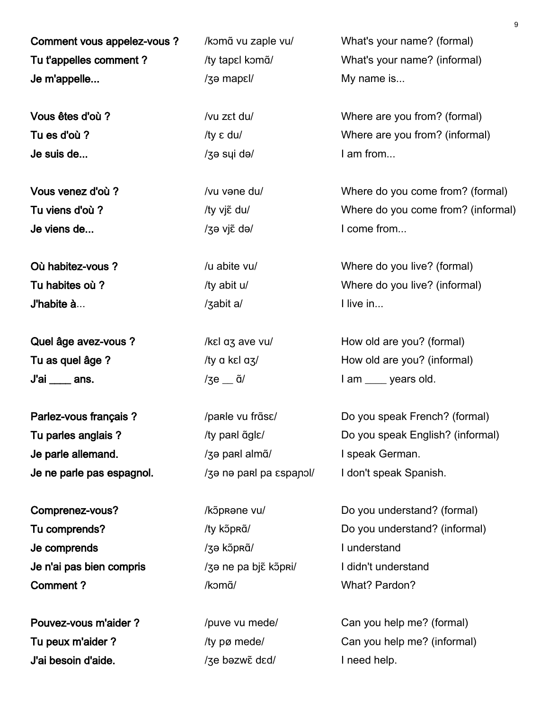Comment vous appelez-vous ? /kɔmɑ̃ vu zaple vu/ What's your name? (formal) Tu t'appelles comment ? /ty tapɛl kɔmɑ̃/ What's your name? (informal) Je m'appelle... *I*se mapell *a* mapell **My name is...** *I*se mapell **My** name is...

Je suis de... **Je suis de...** And *I* am from...

Je viens de... *Je* viens de... *J*<sub>3</sub> *i*s viens de *l s i*s viens de *l s i*s viens de *l s i*s viens de *l s is viens de l is viens de l**is viens de l**is viens de l* **<b>***is viens de l**is viens de* 

J'habite à... /ʒabit a/ I live in...

 $J'ai$  ans.  $\frac{1}{3}$  ans.  $\frac{1}{3}$  ans.  $\frac{1}{3}$  and  $\frac{1}{3}$  and  $\frac{1}{3}$  and  $\frac{1}{3}$  and  $\frac{1}{3}$  and  $\frac{1}{3}$  and  $\frac{1}{3}$  and  $\frac{1}{3}$  and  $\frac{1}{3}$  and  $\frac{1}{3}$  and  $\frac{1}{3}$  and  $\frac{1}{3}$  and  $\frac{1}{3}$  an

Je parle allemand. *I*zə parl almã/ I speak German. Je ne parle pas espagnol. /ʒə nə parl pa ɛspanɔl/ I don't speak Spanish.

Je comprends *l*zə kɔ̃pʀɑ̃/ I understand Je n'ai pas bien compris /ʒə ne pa bjɛ̃ kɔ̃pʀi/ I didn't understand **Comment ?** / /komɑ̃/ What? Pardon?

J'ai besoin d'aide. *//*ʒe bəzwɛ̃ dɛd/ **I** need help.

Vous êtes d'où ? /vu zɛt du/ Where are you from? (formal) Tu es d'où ?  $/$ ty  $\epsilon$  du $/$  Where are you from? (informal)

Vous venez d'où ? /vu vəne du/ Where do you come from? (formal) Tu viens d'où ?<br>
/ty viɛ̃ du/ Where do you come from? (informal)

Où habitez-vous ?  $\sqrt{u}$  abite vu/ Where do you live? (formal) Tu habites où ? */ty abit u/* Where do you live? (informal)

Quel âge avez-vous ? */kɛl ɑʒ ave vu/* How old are you? (formal) Tu as quel âge ?  $/$  /ty  $\alpha$  kɛl  $\alpha$ /  $\alpha$  How old are you? (informal)

Parlez-vous français ? /parle vu frɑ̃sɛ/ Do you speak French? (formal) Tu parles anglais ? /ty parl ɑ̃glɛ/ Do you speak English? (informal)

Comprenez-vous? //kɔ̃pRəne vu/ Do you understand? (formal) Tu comprends? /ty kɔ̃pʀɑ̃/ bo you understand? (informal)

Pouvez-vous m'aider ? /puve vu mede/ Can you help me? (formal) Tu peux m'aider ? /ty pø mede/ Can you help me? (informal)